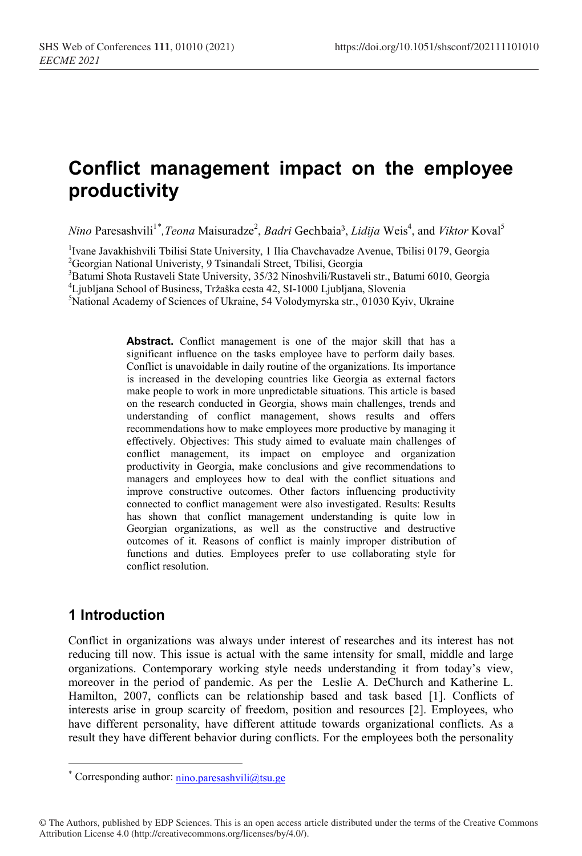# **Conflict management impact on the employee productivity**

*Nino* Paresashvili<sup>1[\\*](#page-0-0)</sup>, *Teona* Maisuradze<sup>2</sup>, *Badri* Gechbaia<sup>3</sup>, *Lidija* Weis<sup>4</sup>, and *Viktor* Koval<sup>5</sup>

<sup>1</sup>Ivane Javakhishvili Tbilisi State University, 1 Ilia Chavchavadze Avenue, Tbilisi 0179, Georgia<br><sup>2</sup>Georgia: National University, 9 Tsinandali Street, Tbilisi, Georgia <sup>2</sup>Georgian National Univeristy, 9 Tsinandali Street, Tbilisi, Georgia

<sup>3</sup>Batumi Shota Rustaveli State University, 35/32 Ninoshvili/Rustaveli str., Batumi 6010, Georgia

<sup>4</sup> Ljubljana School of Business, Tržaška cesta 42, SI-1000 Ljubljana, Slovenia

<sup>5</sup>National Academy of Sciences of Ukraine, 54 Volodymyrska str., 01030 Kyiv, Ukraine

Abstract. Conflict management is one of the major skill that has a significant influence on the tasks employee have to perform daily bases. Conflict is unavoidable in daily routine of the organizations. Its importance is increased in the developing countries like Georgia as external factors make people to work in more unpredictable situations. This article is based on the research conducted in Georgia, shows main challenges, trends and understanding of conflict management, shows results and offers recommendations how to make employees more productive by managing it effectively. Objectives: This study aimed to evaluate main challenges of conflict management, its impact on employee and organization productivity in Georgia, make conclusions and give recommendations to managers and employees how to deal with the conflict situations and improve constructive outcomes. Other factors influencing productivity connected to conflict management were also investigated. Results: Results has shown that conflict management understanding is quite low in Georgian organizations, as well as the constructive and destructive outcomes of it. Reasons of conflict is mainly improper distribution of functions and duties. Employees prefer to use collaborating style for conflict resolution.

### **1 Introduction**

<u>.</u>

Conflict in organizations was always under interest of researches and its interest has not reducing till now. This issue is actual with the same intensity for small, middle and large organizations. Contemporary working style needs understanding it from today's view, moreover in the period of pandemic. As per the Leslie A. DeChurch and Katherine L. Hamilton, 2007, conflicts can be relationship based and task based [1]. Conflicts of interests arise in group scarcity of freedom, position and resources [2]. Employees, who have different personality, have different attitude towards organizational conflicts. As a result they have different behavior during conflicts. For the employees both the personality

<span id="page-0-0"></span><sup>\*</sup> Corresponding author: nino.paresashvili@tsu.ge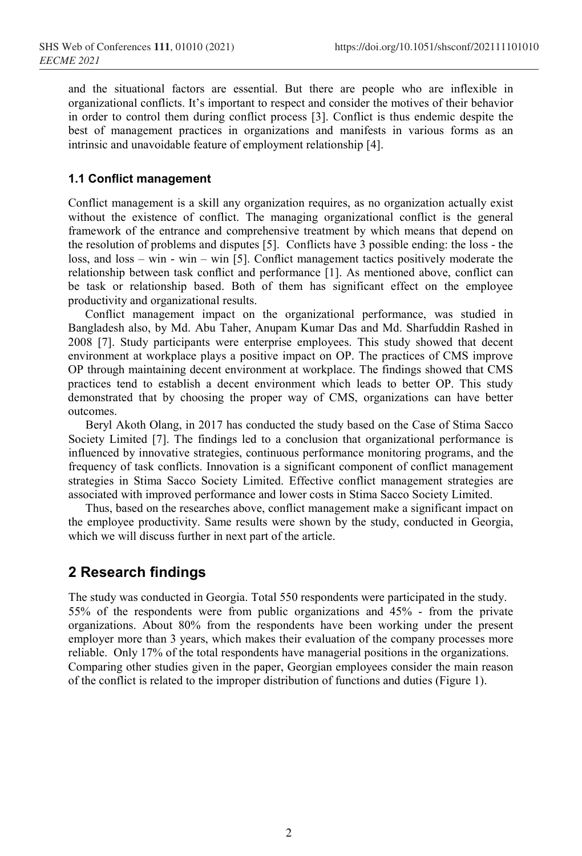and the situational factors are essential. But there are people who are inflexible in organizational conflicts. It's important to respect and consider the motives of their behavior in order to control them during conflict process [3]. Conflict is thus endemic despite the best of management practices in organizations and manifests in various forms as an intrinsic and unavoidable feature of employment relationship [4].

#### **1.1 Conflict management**

Conflict management is a skill any organization requires, as no organization actually exist without the existence of conflict. The managing organizational conflict is the general framework of the entrance and comprehensive treatment by which means that depend on the resolution of problems and disputes [5]. Conflicts have 3 possible ending: the loss - the loss, and loss – win - win – win [5]. Conflict management tactics positively moderate the relationship between task conflict and performance [1]. As mentioned above, conflict can be task or relationship based. Both of them has significant effect on the employee productivity and organizational results.

Conflict management impact on the organizational performance, was studied in Bangladesh also, by Md. Abu Taher, Anupam Kumar Das and Md. Sharfuddin Rashed in 2008 [7]. Study participants were enterprise employees. This study showed that decent environment at workplace plays a positive impact on OP. The practices of CMS improve OP through maintaining decent environment at workplace. The findings showed that CMS practices tend to establish a decent environment which leads to better OP. This study demonstrated that by choosing the proper way of CMS, organizations can have better outcomes.

Beryl Akoth Olang, in 2017 has conducted the study based on the Case of Stima Sacco Society Limited [7]. The findings led to a conclusion that organizational performance is influenced by innovative strategies, continuous performance monitoring programs, and the frequency of task conflicts. Innovation is a significant component of conflict management strategies in Stima Sacco Society Limited. Effective conflict management strategies are associated with improved performance and lower costs in Stima Sacco Society Limited.

Thus, based on the researches above, conflict management make a significant impact on the employee productivity. Same results were shown by the study, conducted in Georgia, which we will discuss further in next part of the article.

#### **2 Research findings**

The study was conducted in Georgia. Total 550 respondents were participated in the study. 55% of the respondents were from public organizations and 45% - from the private organizations. About 80% from the respondents have been working under the present employer more than 3 years, which makes their evaluation of the company processes more reliable. Only 17% of the total respondents have managerial positions in the organizations. Comparing other studies given in the paper, Georgian employees consider the main reason of the conflict is related to the improper distribution of functions and duties (Figure 1).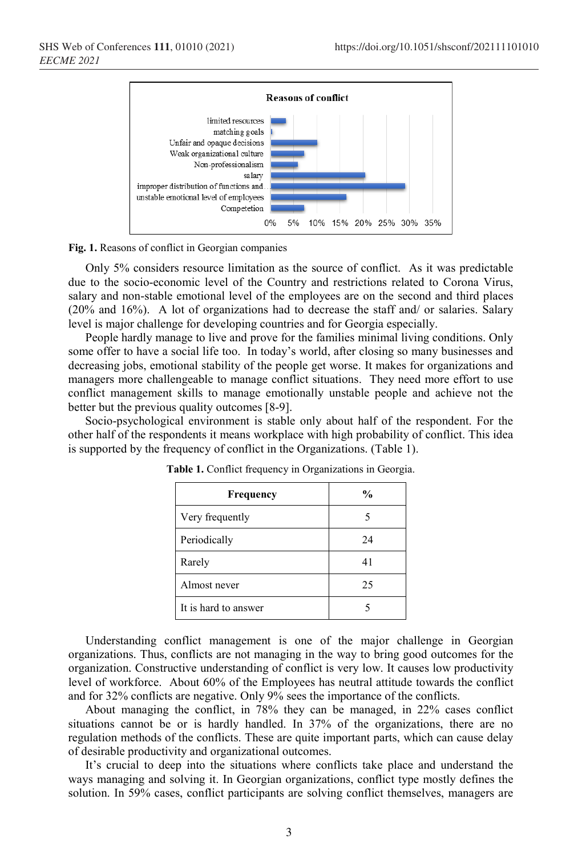

**Fig. 1.** Reasons of conflict in Georgian companies

Only 5% considers resource limitation as the source of conflict. As it was predictable due to the socio-economic level of the Country and restrictions related to Corona Virus, salary and non-stable emotional level of the employees are on the second and third places (20% and 16%). A lot of organizations had to decrease the staff and/ or salaries. Salary level is major challenge for developing countries and for Georgia especially.

People hardly manage to live and prove for the families minimal living conditions. Only some offer to have a social life too. In today's world, after closing so many businesses and decreasing jobs, emotional stability of the people get worse. It makes for organizations and managers more challengeable to manage conflict situations. They need more effort to use conflict management skills to manage emotionally unstable people and achieve not the better but the previous quality outcomes [8-9].

Socio-psychological environment is stable only about half of the respondent. For the other half of the respondents it means workplace with high probability of conflict. This idea is supported by the frequency of conflict in the Organizations. (Table 1).

| Frequency            | $\frac{6}{9}$ |
|----------------------|---------------|
| Very frequently      |               |
| Periodically         | 24            |
| Rarely               | 41            |
| Almost never         | 25            |
| It is hard to answer |               |

**Table 1.** Conflict frequency in Organizations in Georgia.

Understanding conflict management is one of the major challenge in Georgian organizations. Thus, conflicts are not managing in the way to bring good outcomes for the organization. Constructive understanding of conflict is very low. It causes low productivity level of workforce. About 60% of the Employees has neutral attitude towards the conflict and for 32% conflicts are negative. Only 9% sees the importance of the conflicts.

About managing the conflict, in 78% they can be managed, in 22% cases conflict situations cannot be or is hardly handled. In 37% of the organizations, there are no regulation methods of the conflicts. These are quite important parts, which can cause delay of desirable productivity and organizational outcomes.

It's crucial to deep into the situations where conflicts take place and understand the ways managing and solving it. In Georgian organizations, conflict type mostly defines the solution. In 59% cases, conflict participants are solving conflict themselves, managers are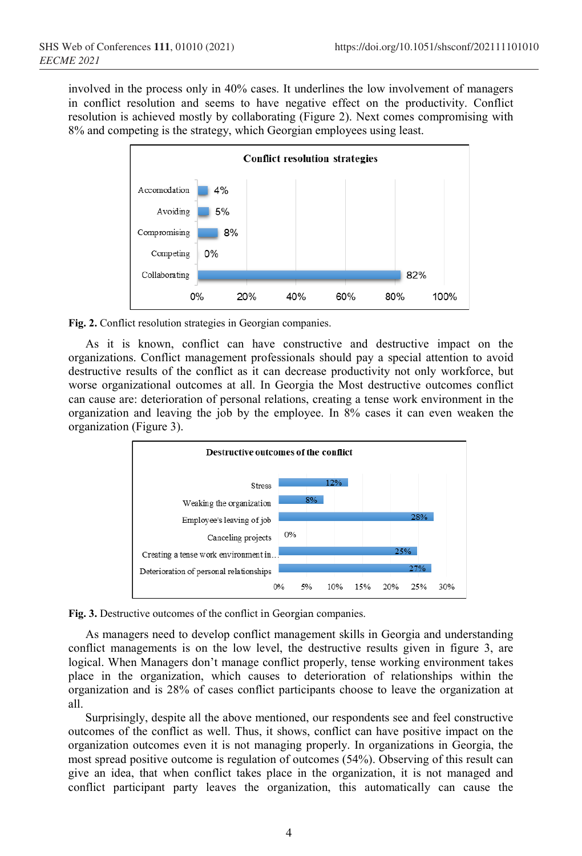involved in the process only in 40% cases. It underlines the low involvement of managers in conflict resolution and seems to have negative effect on the productivity. Conflict resolution is achieved mostly by collaborating (Figure 2). Next comes compromising with 8% and competing is the strategy, which Georgian employees using least.



**Fig. 2.** Conflict resolution strategies in Georgian companies.

As it is known, conflict can have constructive and destructive impact on the organizations. Conflict management professionals should pay a special attention to avoid destructive results of the conflict as it can decrease productivity not only workforce, but worse organizational outcomes at all. In Georgia the Most destructive outcomes conflict can cause are: deterioration of personal relations, creating a tense work environment in the organization and leaving the job by the employee. In 8% cases it can even weaken the organization (Figure 3).





As managers need to develop conflict management skills in Georgia and understanding conflict managements is on the low level, the destructive results given in figure 3, are logical. When Managers don't manage conflict properly, tense working environment takes place in the organization, which causes to deterioration of relationships within the organization and is 28% of cases conflict participants choose to leave the organization at all.

Surprisingly, despite all the above mentioned, our respondents see and feel constructive outcomes of the conflict as well. Thus, it shows, conflict can have positive impact on the organization outcomes even it is not managing properly. In organizations in Georgia, the most spread positive outcome is regulation of outcomes (54%). Observing of this result can give an idea, that when conflict takes place in the organization, it is not managed and conflict participant party leaves the organization, this automatically can cause the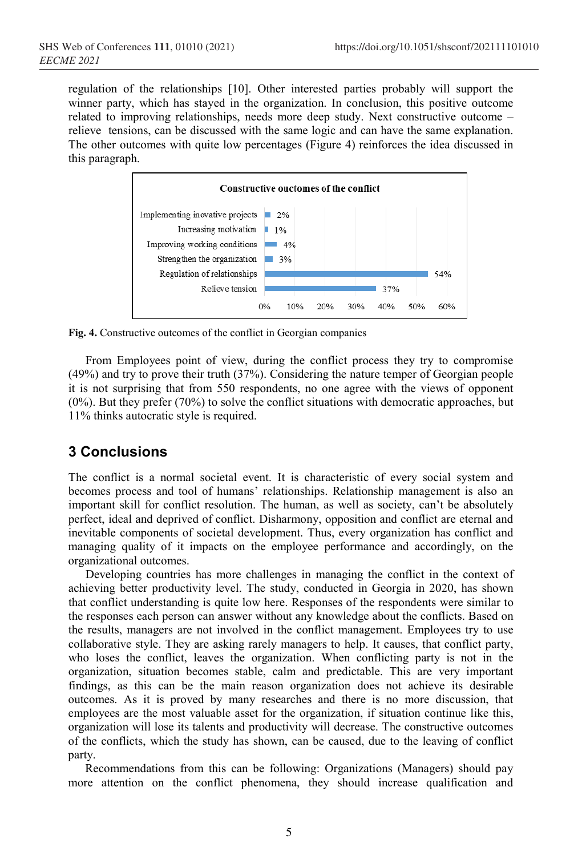regulation of the relationships [10]. Other interested parties probably will support the winner party, which has stayed in the organization. In conclusion, this positive outcome related to improving relationships, needs more deep study. Next constructive outcome – relieve tensions, can be discussed with the same logic and can have the same explanation. The other outcomes with quite low percentages (Figure 4) reinforces the idea discussed in this paragraph.



**Fig. 4.** Constructive outcomes of the conflict in Georgian companies

From Employees point of view, during the conflict process they try to compromise (49%) and try to prove their truth (37%). Considering the nature temper of Georgian people it is not surprising that from 550 respondents, no one agree with the views of opponent (0%). But they prefer (70%) to solve the conflict situations with democratic approaches, but 11% thinks autocratic style is required.

## **3 Conclusions**

The conflict is a normal societal event. It is characteristic of every social system and becomes process and tool of humans' relationships. Relationship management is also an important skill for conflict resolution. The human, as well as society, can't be absolutely perfect, ideal and deprived of conflict. Disharmony, opposition and conflict are eternal and inevitable components of societal development. Thus, every organization has conflict and managing quality of it impacts on the employee performance and accordingly, on the organizational outcomes.

Developing countries has more challenges in managing the conflict in the context of achieving better productivity level. The study, conducted in Georgia in 2020, has shown that conflict understanding is quite low here. Responses of the respondents were similar to the responses each person can answer without any knowledge about the conflicts. Based on the results, managers are not involved in the conflict management. Employees try to use collaborative style. They are asking rarely managers to help. It causes, that conflict party, who loses the conflict, leaves the organization. When conflicting party is not in the organization, situation becomes stable, calm and predictable. This are very important findings, as this can be the main reason organization does not achieve its desirable outcomes. As it is proved by many researches and there is no more discussion, that employees are the most valuable asset for the organization, if situation continue like this, organization will lose its talents and productivity will decrease. The constructive outcomes of the conflicts, which the study has shown, can be caused, due to the leaving of conflict party.

Recommendations from this can be following: Organizations (Managers) should pay more attention on the conflict phenomena, they should increase qualification and